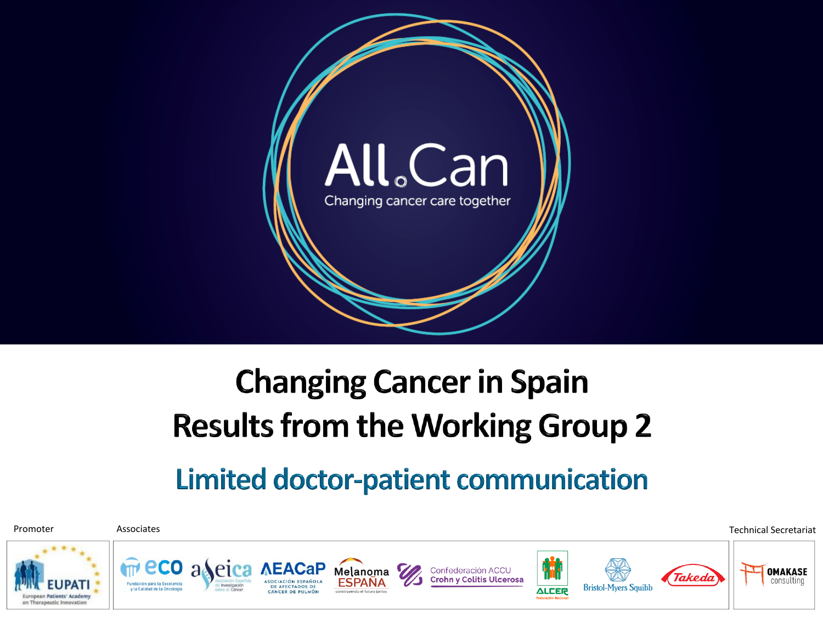

# **Changing Cancer in Spain Results from the Working Group 2**

#### **Limited doctor-patient communication**

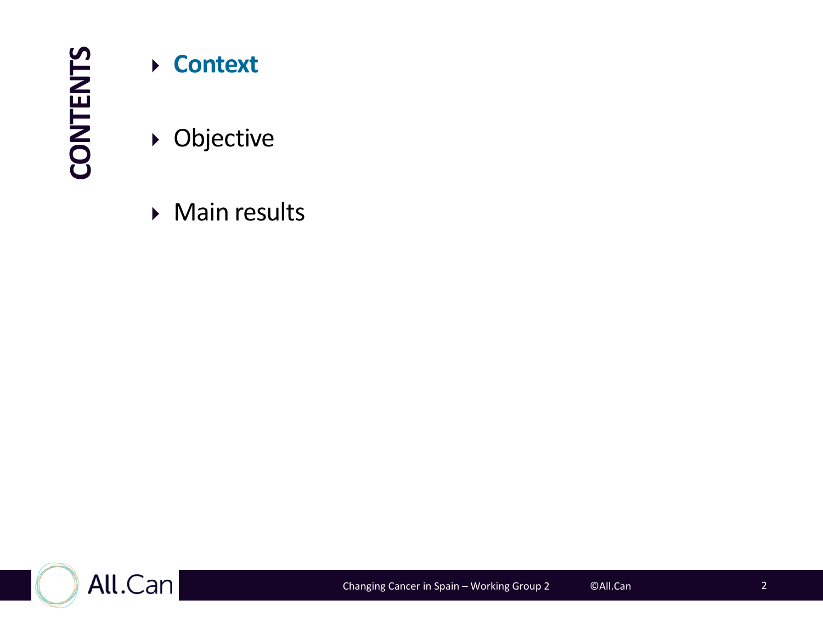**CONTENTS**

#### **Context**

Objective

**Main results** 

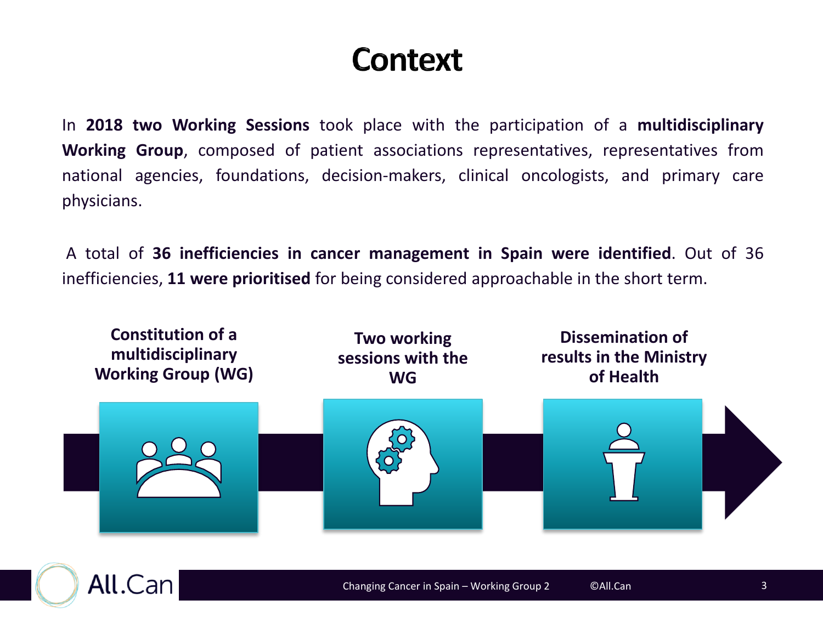### Context

In **2018 two Working Sessions** took place with the participation of a **multidisciplinary Working Group**, composed of patient associations representatives, representatives from national agencies, foundations, decision-makers, clinical oncologists, and primary care physicians.

A total of **36 inefficiencies in cancer management in Spain were identified**. Out of 36 inefficiencies, **11 were prioritised** for being considered approachable in the short term.



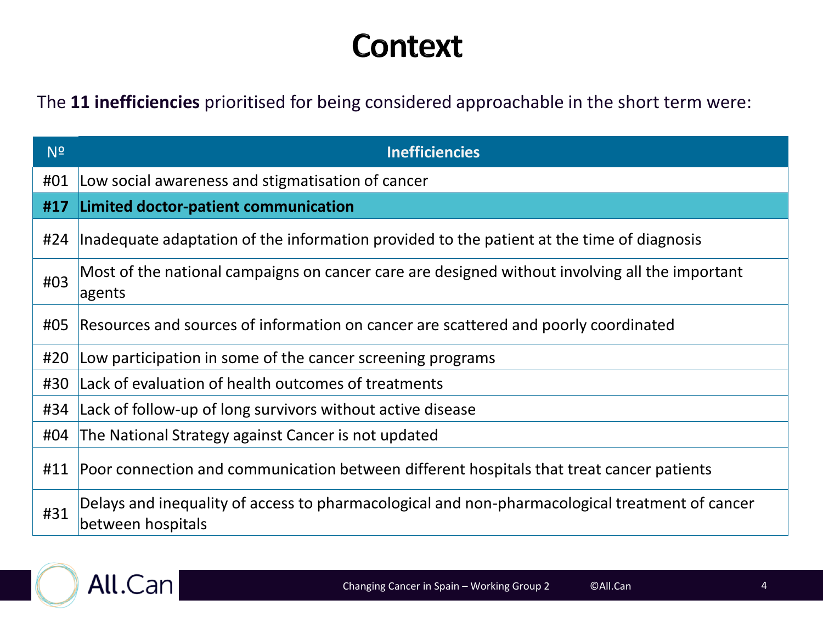### **Context**

The **11 inefficiencies** prioritised for being considered approachable in the short term were:

| N <sup>2</sup> | <b>Inefficiencies</b>                                                                                               |
|----------------|---------------------------------------------------------------------------------------------------------------------|
| #01            | Low social awareness and stigmatisation of cancer                                                                   |
| #17            | Limited doctor-patient communication                                                                                |
| #24            | Inadequate adaptation of the information provided to the patient at the time of diagnosis                           |
| #03            | Most of the national campaigns on cancer care are designed without involving all the important<br>agents            |
| #05            | Resources and sources of information on cancer are scattered and poorly coordinated                                 |
| #20            | Low participation in some of the cancer screening programs                                                          |
| #30            | Lack of evaluation of health outcomes of treatments                                                                 |
| #34            | Lack of follow-up of long survivors without active disease                                                          |
| #04            | The National Strategy against Cancer is not updated                                                                 |
| #11            | Poor connection and communication between different hospitals that treat cancer patients                            |
| #31            | Delays and inequality of access to pharmacological and non-pharmacological treatment of cancer<br>between hospitals |

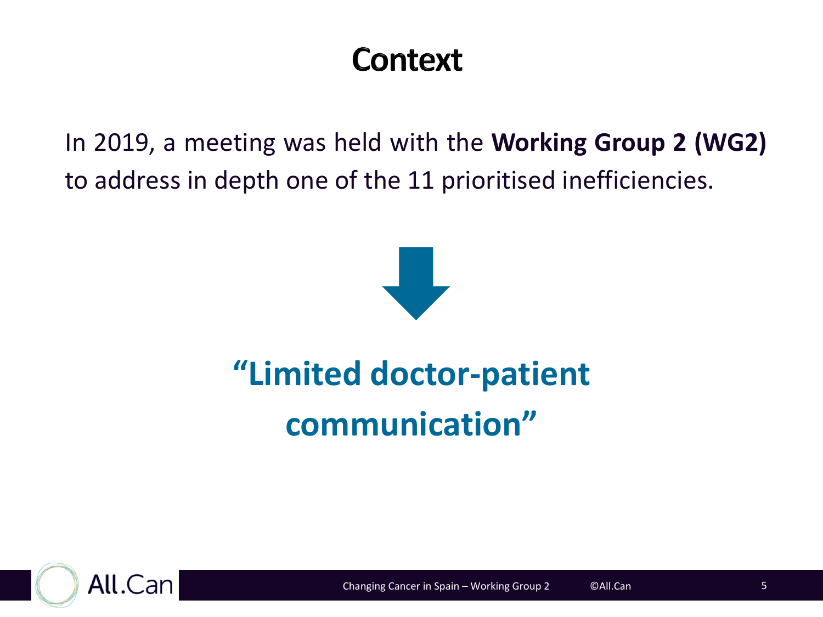### Context

In 2019, a meeting was held with the **Working Group 2 (WG2)** to address in depth one of the 11 prioritised inefficiencies.



# **"Limited doctor-patient communication"**

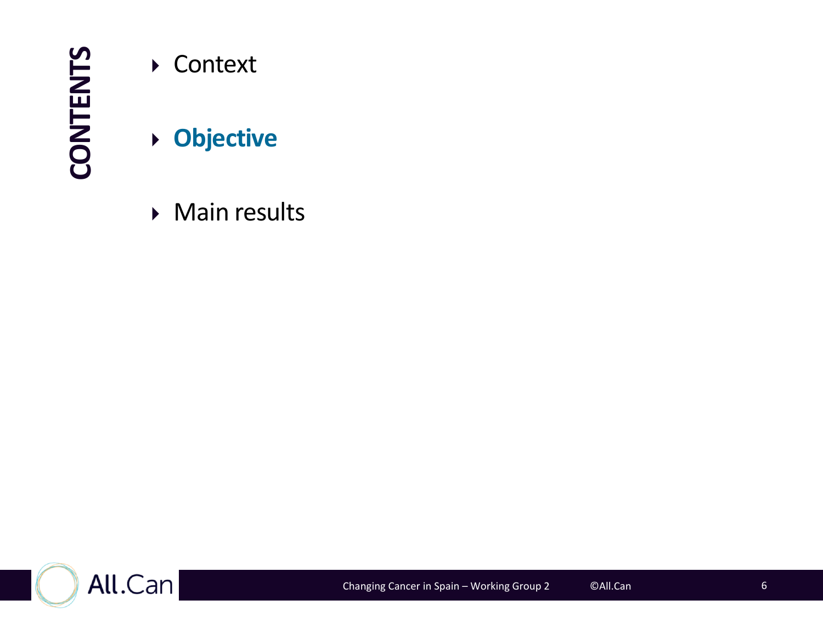**CONTENTS**

- ▶ Context
- **Objective**
- **Main results**

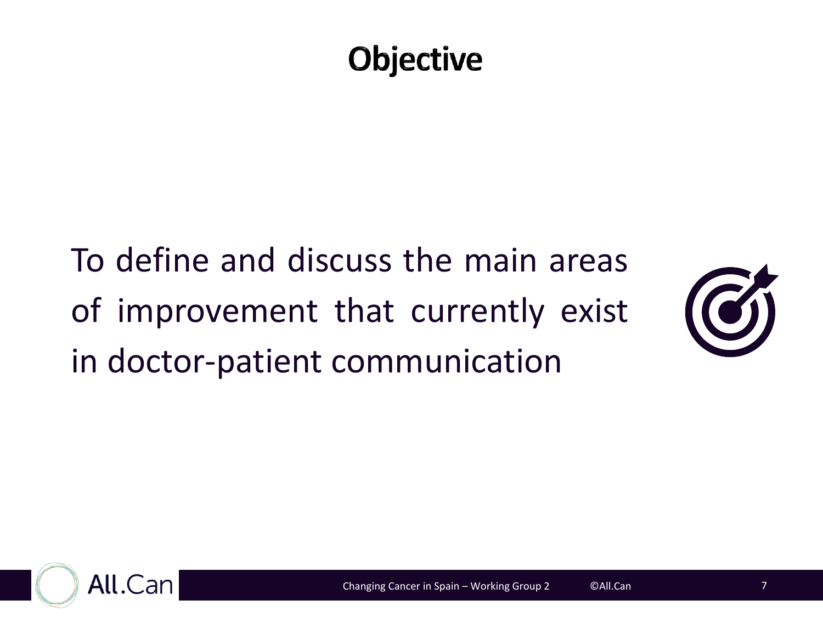## **Objective**

To define and discuss the main areas of improvement that currently exist in doctor-patient communication



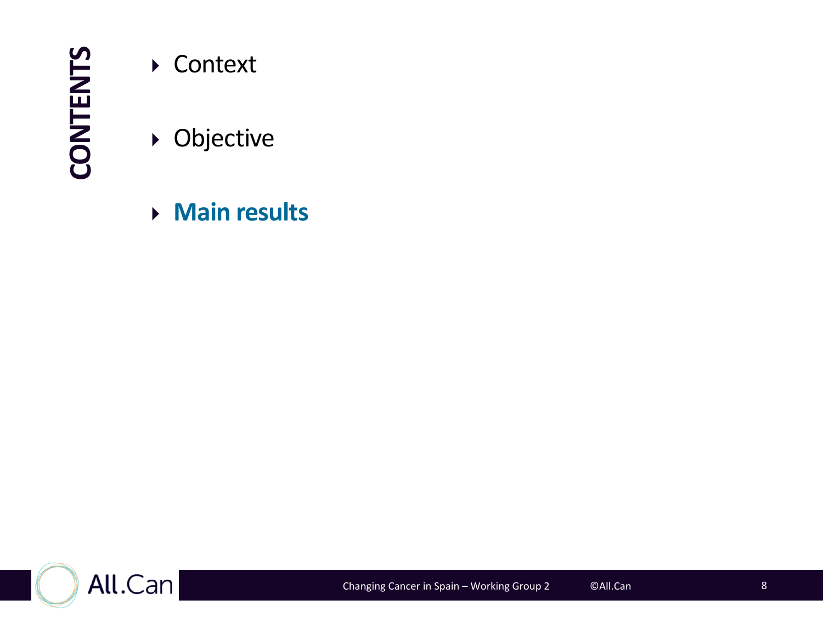**CONTENTS**

▶ Context

Objective

**Main results**

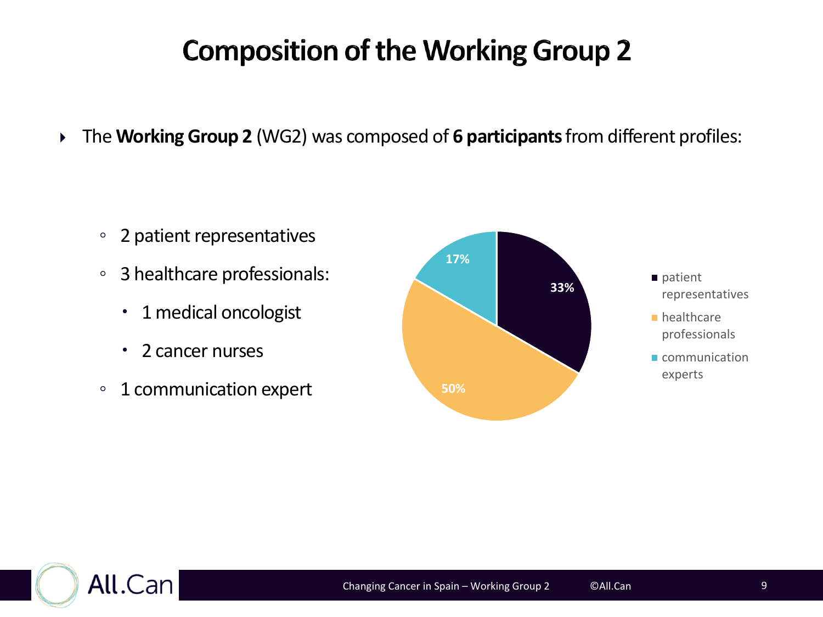#### **Composition of the Working Group 2**

The **WorkingGroup 2** (WG2) was composed of **6 participants**from different profiles:

- 2 patient representatives
- 3 healthcare professionals:
	- 1 medical oncologist
	- 2 cancer nurses
- 1 communication expert





- **healthcare** professionals
- Communication experts

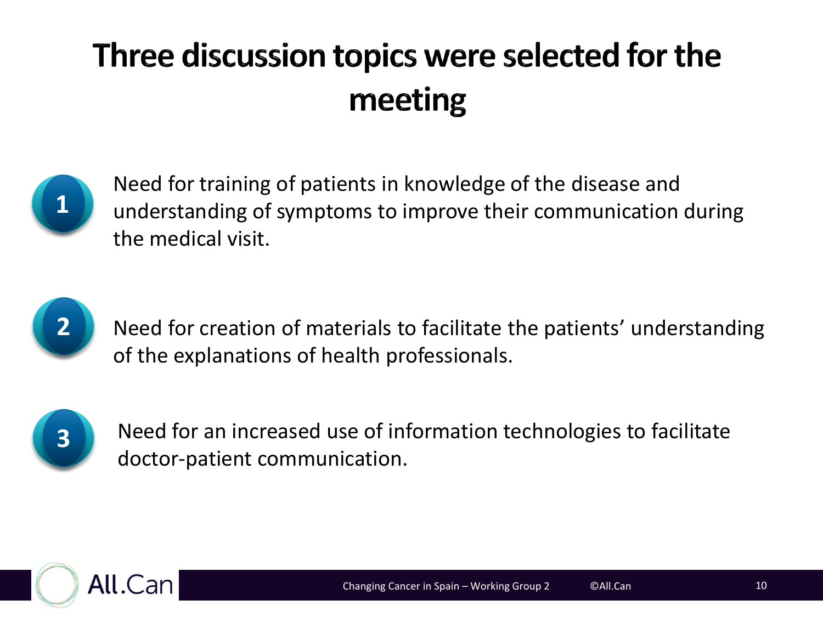## Three discussion topics were selected for the meeting



Need for training of patients in knowledge of the disease and understanding of symptoms to improve their communication during the medical visit.



Need for creation of materials to facilitate the patients' understanding of the explanations of health professionals.



Need for an increased use of information technologies to facilitate doctor-patient communication.

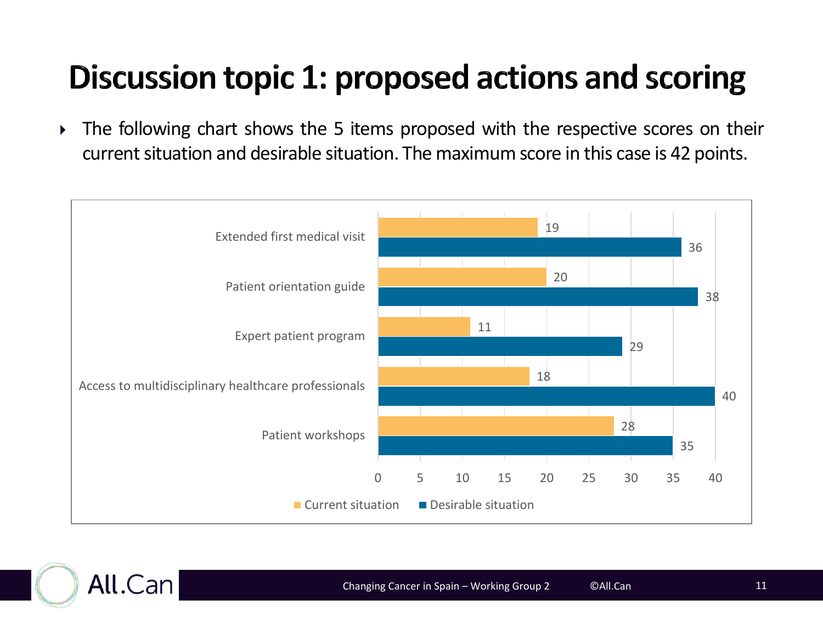## Discussion topic 1: proposed actions and scoring

• The following chart shows the 5 items proposed with the respective scores on their current situation and desirable situation. The maximum score in this case is 42 points.



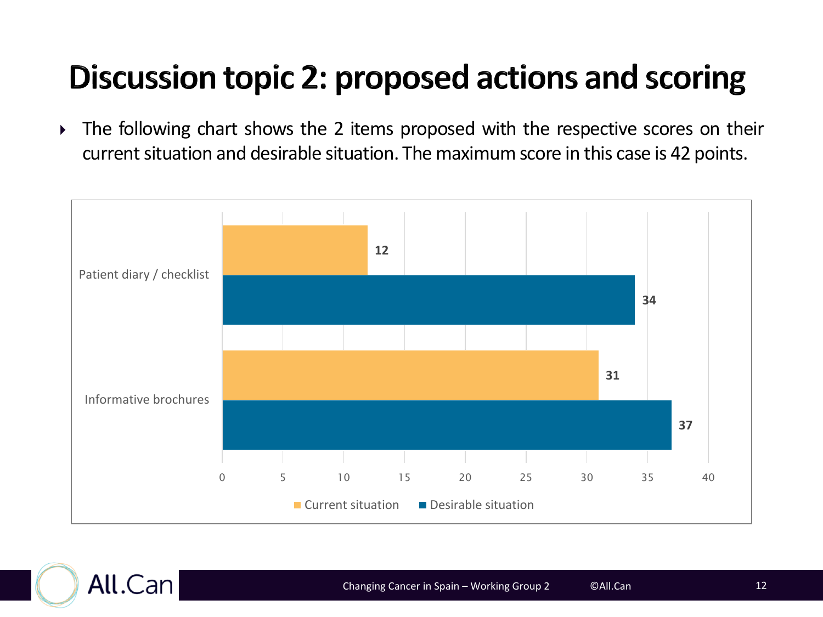## Discussion topic 2: proposed actions and scoring

• The following chart shows the 2 items proposed with the respective scores on their current situation and desirable situation. The maximum score in this case is 42 points.



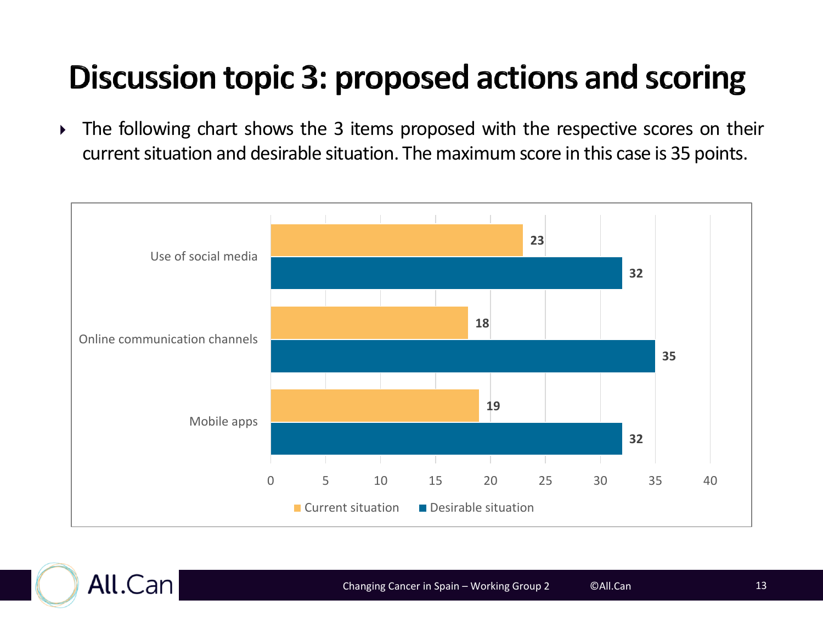## Discussion topic 3: proposed actions and scoring

• The following chart shows the 3 items proposed with the respective scores on their current situation and desirable situation. The maximum score in this case is 35 points.



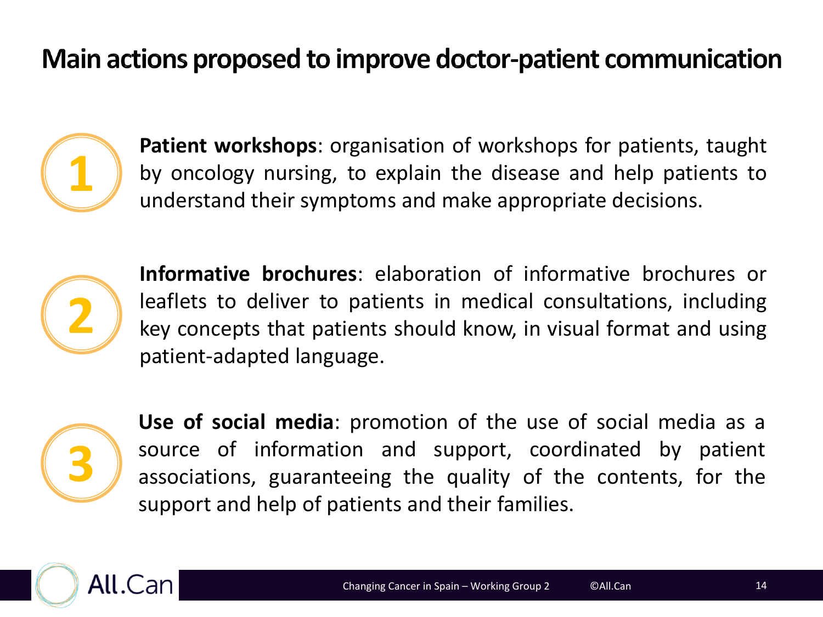#### Main actions proposed to improve doctor-patient communication



**Patient workshops**: organisation of workshops for patients, taught by oncology nursing, to explain the disease and help patients to understand their symptoms and make appropriate decisions.



**Informative brochures**: elaboration of informative brochures or leaflets to deliver to patients in medical consultations, including key concepts that patients should know, in visual format and using patient-adapted language.



**Use of social media**: promotion of the use of social media as a source of information and support, coordinated by patient associations, guaranteeing the quality of the contents, for the support and help of patients and their families.